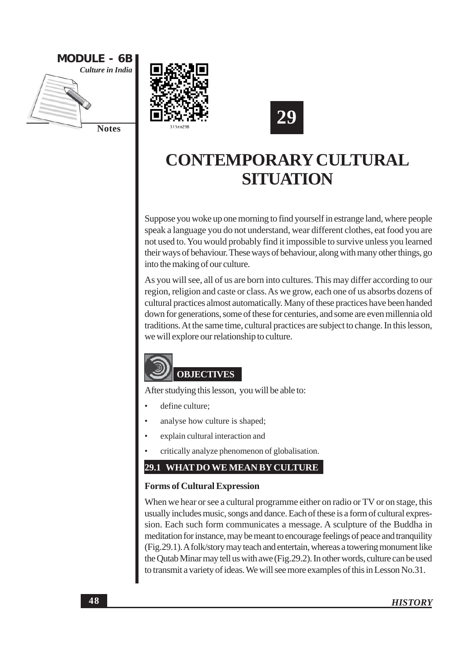





Suppose you woke up one morning to find yourself in estrange land, where people speak a language you do not understand, wear different clothes, eat food you are not used to. You would probably find it impossible to survive unless you learned their ways of behaviour. These ways of behaviour, along with many other things, go into the making of our culture.

As you will see, all of us are born into cultures. This may differ according to our region, religion and caste or class. As we grow, each one of us absorbs dozens of cultural practices almost automatically. Many of these practices have been handed down for generations, some of these for centuries, and some are even millennia old traditions. At the same time, cultural practices are subject to change. In this lesson, we will explore our relationship to culture.



After studying this lesson, you will be able to:

- define culture:
- $\ddot{\phantom{a}}$ analyse how culture is shaped;
- $\bullet$ explain cultural interaction and
- critically analyze phenomenon of globalisation.

### 29.1 WHAT DO WE MEAN BY CULTURE

### **Forms of Cultural Expression**

When we hear or see a cultural programme either on radio or TV or on stage, this usually includes music, songs and dance. Each of these is a form of cultural expression. Each such form communicates a message. A sculpture of the Buddha in meditation for instance, may be meant to encourage feelings of peace and tranquility (Fig.29.1). A folk/story may teach and entertain, whereas a towering monument like the Qutab Minar may tell us with awe (Fig.29.2). In other words, culture can be used to transmit a variety of ideas. We will see more examples of this in Lesson No.31.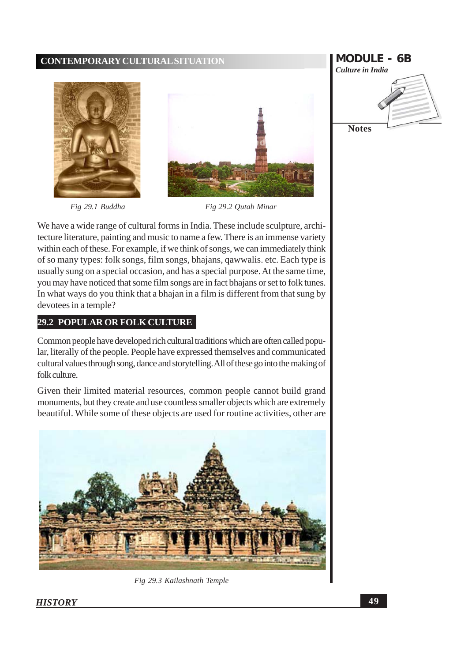

Fig 29.1 Buddha





Fig 29.2 Qutab Minar

We have a wide range of cultural forms in India. These include sculpture, architecture literature, painting and music to name a few. There is an immense variety within each of these. For example, if we think of songs, we can immediately think of so many types: folk songs, film songs, bhajans, qawwalis. etc. Each type is usually sung on a special occasion, and has a special purpose. At the same time, you may have noticed that some film songs are in fact bhajans or set to folk tunes. In what ways do you think that a bhajan in a film is different from that sung by devotees in a temple?

### **29.2 POPULAR OR FOLK CULTURE**

Common people have developed rich cultural traditions which are often called popular, literally of the people. People have expressed themselves and communicated cultural values through song, dance and storytelling. All of these go into the making of folk culture.

Given their limited material resources, common people cannot build grand monuments, but they create and use countless smaller objects which are extremely beautiful. While some of these objects are used for routine activities, other are



Fig 29.3 Kailashnath Temple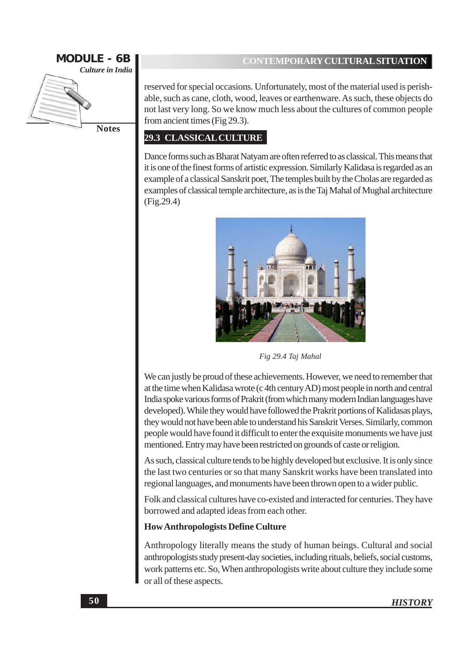

**Notes** 

### **CONTEMPORARY CULTURAL SITUATION**

reserved for special occasions. Unfortunately, most of the material used is perishable, such as cane, cloth, wood, leaves or earthenware. As such, these objects do not last very long. So we know much less about the cultures of common people from ancient times (Fig 29.3).

### **29.3 CLASSICAL CULTURE**

Dance forms such as Bharat Natyam are often referred to as classical. This means that it is one of the finest forms of artistic expression. Similarly Kalidasa is regarded as an example of a classical Sanskrit poet. The temples built by the Cholas are regarded as examples of classical temple architecture, as is the Taj Mahal of Mughal architecture  $(Fig.29.4)$ 



Fig 29.4 Taj Mahal

We can justly be proud of these achievements. However, we need to remember that at the time when Kalidasa wrote (c 4th century AD) most people in north and central India spoke various forms of Prakrit (from which many modern Indian languages have developed). While they would have followed the Prakrit portions of Kalidasas plays, they would not have been able to understand his Sanskrit Verses. Similarly, common people would have found it difficult to enter the exquisite monuments we have just mentioned. Entry may have been restricted on grounds of caste or religion.

As such, classical culture tends to be highly developed but exclusive. It is only since the last two centuries or so that many Sanskrit works have been translated into regional languages, and monuments have been thrown open to a wider public.

Folk and classical cultures have co-existed and interacted for centuries. They have borrowed and adapted ideas from each other.

### **How Anthropologists Define Culture**

Anthropology literally means the study of human beings. Cultural and social anthropologists study present-day societies, including rituals, beliefs, social customs, work patterns etc. So, When anthropologists write about culture they include some or all of these aspects.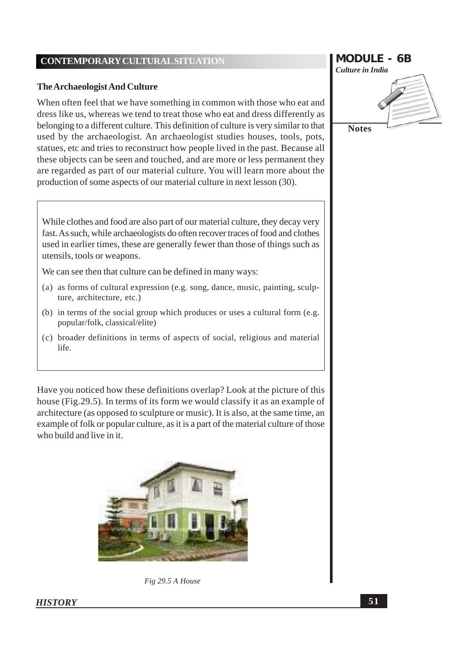### **The Archaeologist And Culture**

When often feel that we have something in common with those who eat and dress like us, whereas we tend to treat those who eat and dress differently as belonging to a different culture. This definition of culture is very similar to that used by the archaeologist. An archaeologist studies houses, tools, pots, statues, etc and tries to reconstruct how people lived in the past. Because all these objects can be seen and touched, and are more or less permanent they are regarded as part of our material culture. You will learn more about the production of some aspects of our material culture in next lesson (30).

While clothes and food are also part of our material culture, they decay very fast. As such, while archaeologists do often recover traces of food and clothes used in earlier times, these are generally fewer than those of things such as utensils, tools or weapons.

We can see then that culture can be defined in many ways:

- (a) as forms of cultural expression (e.g. song, dance, music, painting, sculpture, architecture, etc.)
- (b) in terms of the social group which produces or uses a cultural form (e.g. popular/folk, classical/elite)
- (c) broader definitions in terms of aspects of social, religious and material life.

Have you noticed how these definitions overlap? Look at the picture of this house (Fig. 29.5). In terms of its form we would classify it as an example of architecture (as opposed to sculpture or music). It is also, at the same time, an example of folk or popular culture, as it is a part of the material culture of those who build and live in it.





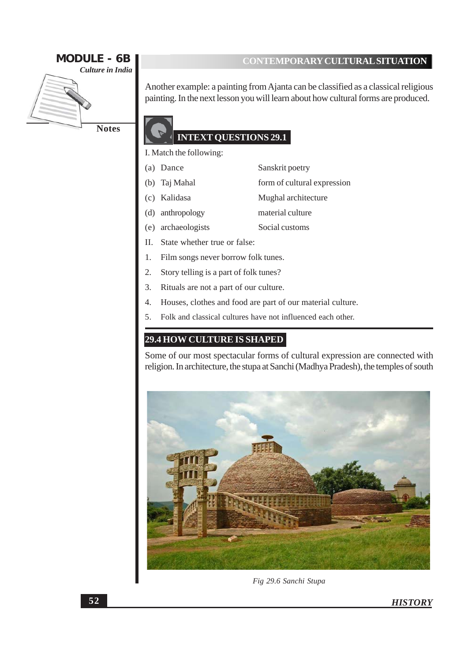

Another example: a painting from Ajanta can be classified as a classical religious painting. In the next lesson you will learn about how cultural forms are produced.

### **INTEXT QUESTIONS 29.1**

I. Match the following:

- (a) Dance Sanskrit poetry
- (b) Taj Mahal form of cultural expression
- (c) Kalidasa Mughal architecture
- (d) anthropology material culture
- (e) archaeologists Social customs
- II. State whether true or false:
- Film songs never borrow folk tunes. 1.
- $2.$ Story telling is a part of folk tunes?
- $3.$ Rituals are not a part of our culture.
- 4. Houses, clothes and food are part of our material culture.
- Folk and classical cultures have not influenced each other. 5.

### **29.4 HOW CULTURE IS SHAPED**

Some of our most spectacular forms of cultural expression are connected with religion. In architecture, the stupa at Sanchi (Madhya Pradesh), the temples of south



Fig 29.6 Sanchi Stupa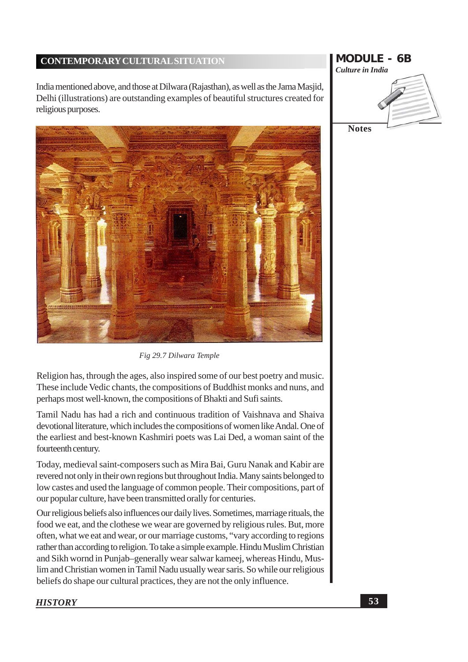India mentioned above, and those at Dilwara (Rajasthan), as well as the Jama Masjid, Delhi (illustrations) are outstanding examples of beautiful structures created for religious purposes.



Fig 29.7 Dilwara Temple

Religion has, through the ages, also inspired some of our best poetry and music. These include Vedic chants, the compositions of Buddhist monks and nuns, and perhaps most well-known, the compositions of Bhakti and Sufi saints.

Tamil Nadu has had a rich and continuous tradition of Vaishnava and Shaiva devotional literature, which includes the compositions of women like Andal. One of the earliest and best-known Kashmiri poets was Lai Ded, a woman saint of the fourteenth century.

Today, medieval saint-composers such as Mira Bai, Guru Nanak and Kabir are revered not only in their own regions but throughout India. Many saints belonged to low castes and used the language of common people. Their compositions, part of our popular culture, have been transmitted orally for centuries.

Our religious beliefs also influences our daily lives. Sometimes, marriage rituals, the food we eat, and the clothese we wear are governed by religious rules. But, more often, what we eat and wear, or our marriage customs, "vary according to regions rather than according to religion. To take a simple example. Hindu Muslim Christian and Sikh wornd in Punjab-generally wear salwar kameej, whereas Hindu, Muslim and Christian women in Tamil Nadu usually wear saris. So while our religious beliefs do shape our cultural practices, they are not the only influence.

# **MODULE - 6B** Culture in India **Notes**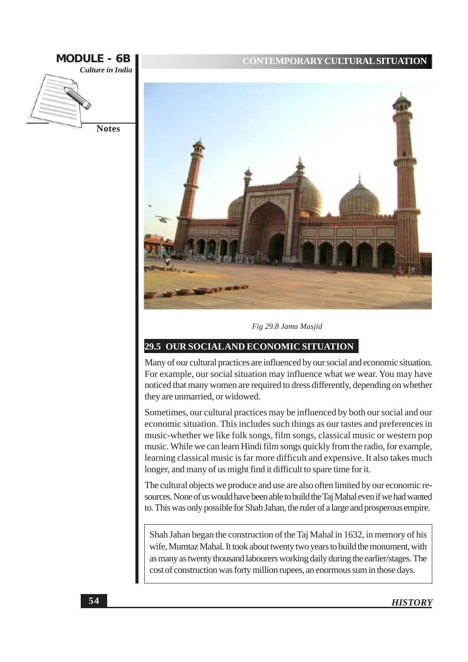



Fig 29.8 Jama Masjid

### 29.5 OUR SOCIAL AND ECONOMIC SITUATION

Many of our cultural practices are influenced by our social and economic situation. For example, our social situation may influence what we wear. You may have noticed that many women are required to dress differently, depending on whether they are unmarried, or widowed.

Sometimes, our cultural practices may be influenced by both our social and our economic situation. This includes such things as our tastes and preferences in music-whether we like folk songs, film songs, classical music or western pop music. While we can learn Hindi film songs quickly from the radio, for example, learning classical music is far more difficult and expensive. It also takes much longer, and many of us might find it difficult to spare time for it.

The cultural objects we produce and use are also often limited by our economic resources. None of us would have been able to build the Taj Mahal even if we had wanted to. This was only possible for Shah Jahan, the ruler of a large and prosperous empire.

Shah Jahan began the construction of the Taj Mahal in 1632, in memory of his wife, Mumtaz Mahal. It took about twenty two years to build the monument, with as many as twenty thousand labourers working daily during the earlier/stages. The cost of construction was forty million rupees, an enormous sum in those days.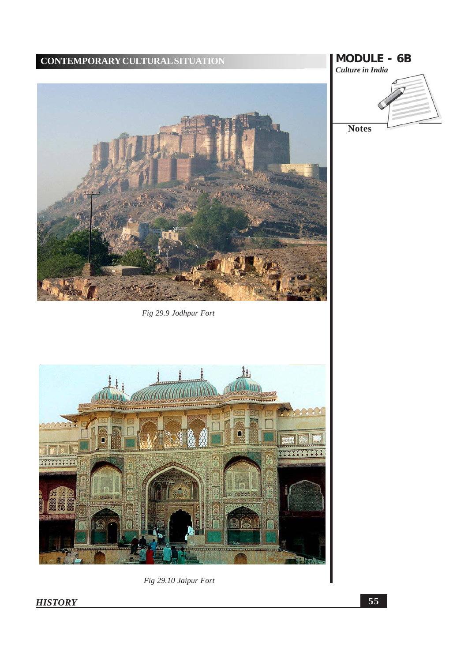Fig 29.9 Jodhpur Fort



Fig 29.10 Jaipur Fort

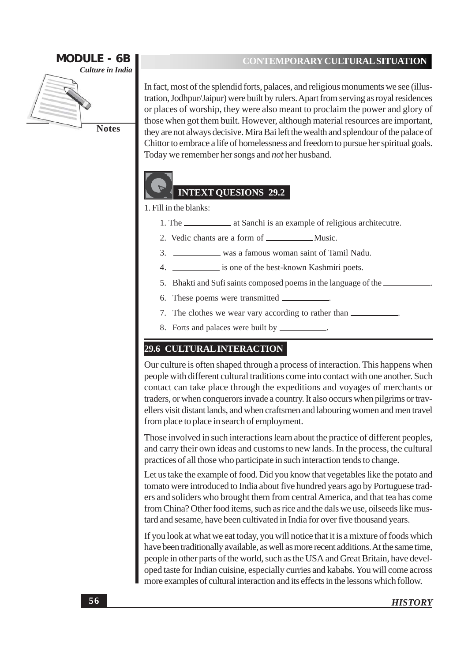

**Notes** 

### **CONTEMPORARY CULTURAL SITUATION**

In fact, most of the splendid forts, palaces, and religious monuments we see (illustration, Jodhpur/Jaipur) were built by rulers. Apart from serving as royal residences or places of worship, they were also meant to proclaim the power and glory of those when got them built. However, although material resources are important, they are not always decisive. Mira Bai left the wealth and splendour of the palace of Chittor to embrace a life of homelessness and freedom to pursue her spiritual goals. Today we remember her songs and *not* her husband.



### **INTEXT QUESIONS 29.2**

### 1. Fill in the blanks:

- $1.$  The  $$ at Sanchi is an example of religious architecutre.
- 
- 3. \_\_\_\_\_\_\_\_\_\_\_\_\_\_\_\_\_\_\_\_ was a famous woman saint of Tamil Nadu.
- 4. \_\_\_\_\_\_\_\_\_\_\_\_\_ is one of the best-known Kashmiri poets.
- 5. Bhakti and Sufi saints composed poems in the language of the
- 6. These poems were transmitted  $\overline{\phantom{a}}$
- 7. The clothes we wear vary according to rather than \_\_\_\_\_\_\_\_\_\_\_\_.
- 8. Forts and palaces were built by \_

### **29.6 CULTURAL INTERACTION**

Our culture is often shaped through a process of interaction. This happens when people with different cultural traditions come into contact with one another. Such contact can take place through the expeditions and voyages of merchants or traders, or when conquerors invade a country. It also occurs when pilgrims or travellers visit distant lands, and when craftsmen and labouring women and men travel from place to place in search of employment.

Those involved in such interactions learn about the practice of different peoples, and carry their own ideas and customs to new lands. In the process, the cultural practices of all those who participate in such interaction tends to change.

Let us take the example of food. Did you know that vegetables like the potato and tomato were introduced to India about five hundred years ago by Portuguese traders and soliders who brought them from central America, and that tea has come from China? Other food items, such as rice and the dals we use, oilseeds like mustard and sesame, have been cultivated in India for over five thousand years.

If you look at what we eat today, you will notice that it is a mixture of foods which have been traditionally available, as well as more recent additions. At the same time, people in other parts of the world, such as the USA and Great Britain, have developed taste for Indian cuisine, especially curries and kababs. You will come across more examples of cultural interaction and its effects in the lessons which follow.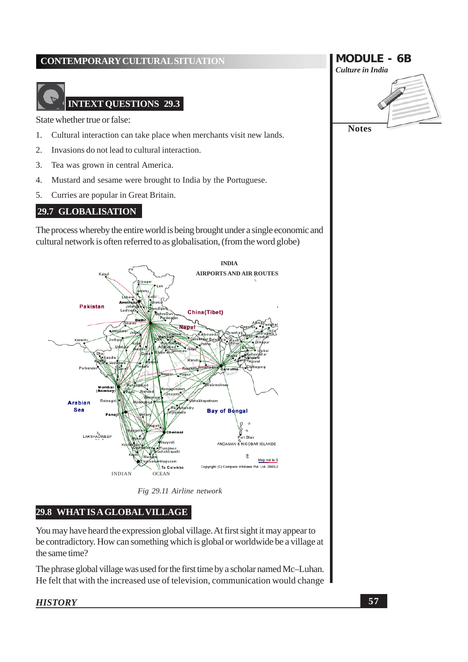## **INTEXT QUESTIONS 29.3**

State whether true or false:

- Cultural interaction can take place when merchants visit new lands.  $\mathbf{1}$
- 2. Invasions do not lead to cultural interaction.
- $3.$ Tea was grown in central America.
- $\overline{4}$ . Mustard and sesame were brought to India by the Portuguese.
- 5. Curries are popular in Great Britain.

### 29.7 GLOBALISATION

The process whereby the entire world is being brought under a single economic and cultural network is often referred to as globalisation, (from the word globe)



Fig 29.11 Airline network

### 29.8 WHAT IS A GLOBAL VILLAGE

You may have heard the expression global village. At first sight it may appear to be contradictory. How can something which is global or worldwide be a village at the same time?

The phrase global village was used for the first time by a scholar named Mc-Luhan. He felt that with the increased use of television, communication would change

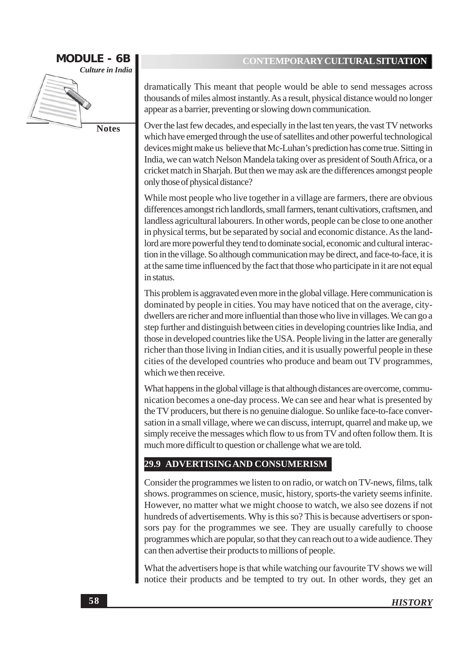

dramatically This meant that people would be able to send messages across thousands of miles almost instantly. As a result, physical distance would no longer appear as a barrier, preventing or slowing down communication.

Over the last few decades, and especially in the last ten years, the vast TV networks which have emerged through the use of satellites and other powerful technological devices might make us believe that Mc-Luhan's prediction has come true. Sitting in India, we can watch Nelson Mandela taking over as president of South Africa, or a cricket match in Sharjah. But then we may ask are the differences amongst people only those of physical distance?

While most people who live together in a village are farmers, there are obvious differences amongst rich landlords, small farmers, tenant cultivations, craftsmen, and landless agricultural labourers. In other words, people can be close to one another in physical terms, but be separated by social and economic distance. As the landlord are more powerful they tend to dominate social, economic and cultural interaction in the village. So although communication may be direct, and face-to-face, it is at the same time influenced by the fact that those who participate in it are not equal in status.

This problem is aggravated even more in the global village. Here communication is dominated by people in cities. You may have noticed that on the average, citydwellers are richer and more influential than those who live in villages. We can go a step further and distinguish between cities in developing countries like India, and those in developed countries like the USA. People living in the latter are generally richer than those living in Indian cities, and it is usually powerful people in these cities of the developed countries who produce and beam out TV programmes, which we then receive.

What happens in the global village is that although distances are overcome, communication becomes a one-day process. We can see and hear what is presented by the TV producers, but there is no genuine dialogue. So unlike face-to-face conversation in a small village, where we can discuss, interrupt, quarrel and make up, we simply receive the messages which flow to us from TV and often follow them. It is much more difficult to question or challenge what we are told.

### 29.9 ADVERTISING AND CONSUMERISM

Consider the programmes we listen to on radio, or watch on TV-news, films, talk shows. programmes on science, music, history, sports-the variety seems infinite. However, no matter what we might choose to watch, we also see dozens if not hundreds of advertisements. Why is this so? This is because advertisers or sponsors pay for the programmes we see. They are usually carefully to choose programmes which are popular, so that they can reach out to a wide audience. They can then advertise their products to millions of people.

What the advertisers hope is that while watching our favourite TV shows we will notice their products and be tempted to try out. In other words, they get an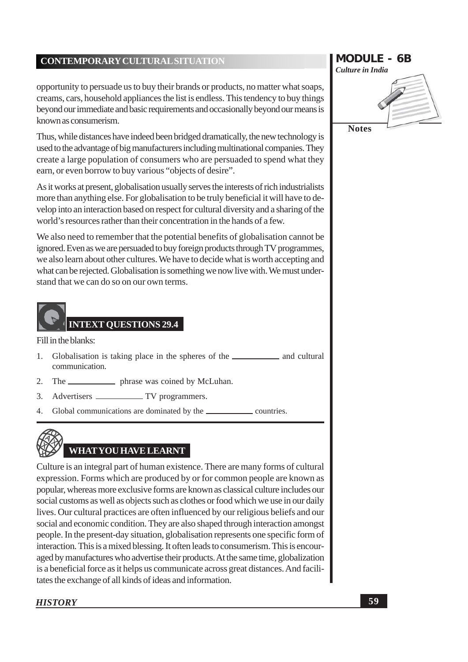opportunity to persuade us to buy their brands or products, no matter what soaps, creams, cars, household appliances the list is endless. This tendency to buy things beyond our immediate and basic requirements and occasionally beyond our means is known as consumerism.

Thus, while distances have indeed been bridged dramatically, the new technology is used to the advantage of big manufacturers including multinational companies. They create a large population of consumers who are persuaded to spend what they earn, or even borrow to buy various "objects of desire".

As it works at present, globalisation usually serves the interests of rich industrialists more than anything else. For globalisation to be truly beneficial it will have to develop into an interaction based on respect for cultural diversity and a sharing of the world's resources rather than their concentration in the hands of a few.

We also need to remember that the potential benefits of globalisation cannot be ignored. Even as we are persuaded to buy foreign products through TV programmes, we also learn about other cultures. We have to decide what is worth accepting and what can be rejected. Globalisation is something we now live with. We must understand that we can do so on our own terms.



Fill in the blanks:

- $1.$ communication.
- The \_\_\_\_\_\_\_\_\_\_\_\_\_\_\_ phrase was coined by McLuhan.  $\overline{2}$ .
- 3.
- 4. Global communications are dominated by the \_\_\_\_\_\_\_  $\equiv$  countries.



# WHAT YOU HAVE LEARNT

Culture is an integral part of human existence. There are many forms of cultural expression. Forms which are produced by or for common people are known as popular, whereas more exclusive forms are known as classical culture includes our social customs as well as objects such as clothes or food which we use in our daily lives. Our cultural practices are often influenced by our religious beliefs and our social and economic condition. They are also shaped through interaction amongst people. In the present-day situation, globalisation represents one specific form of interaction. This is a mixed blessing. It often leads to consumerism. This is encouraged by manufactures who advertise their products. At the same time, globalization is a beneficial force as it helps us communicate across great distances. And facilitates the exchange of all kinds of ideas and information.

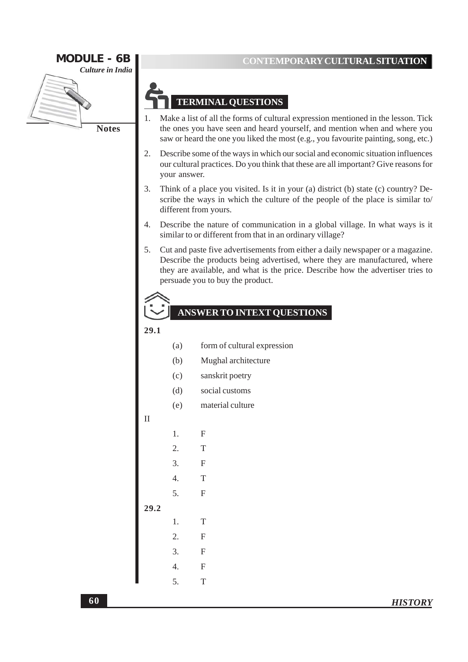